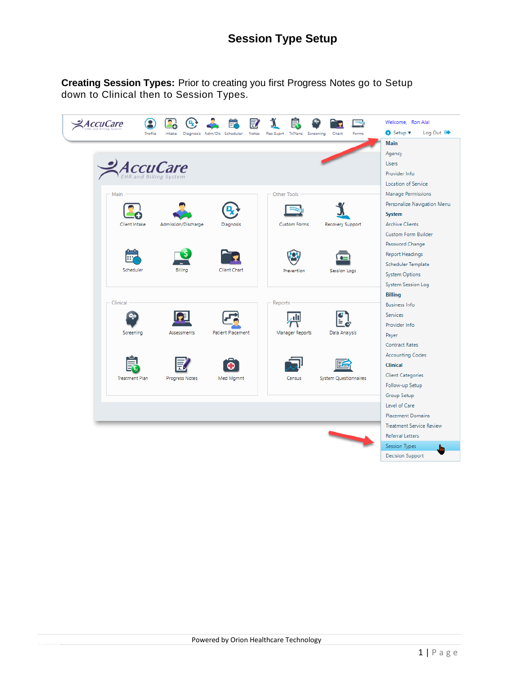**Creating Session Types:** Prior to creating you first Progress Notes go to Setup down to Clinical then to Session Types.

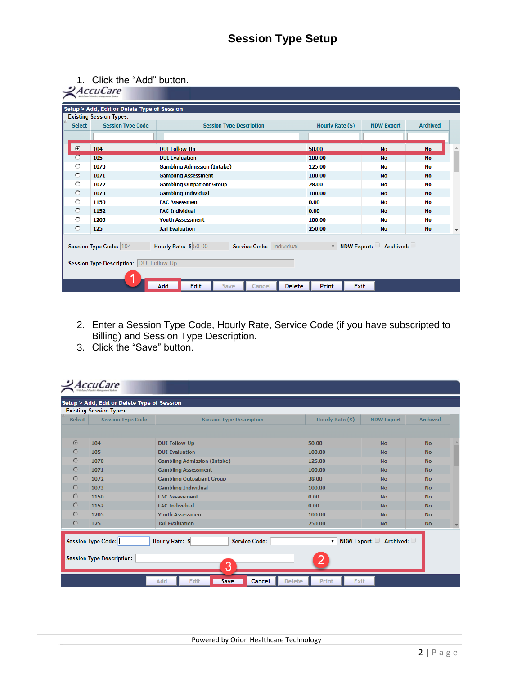1. Click the "Add" button.

| Setup > Add, Edit or Delete Type of Session<br><b>Existing Session Types:</b>                                                                                   |                          |                                    |                  |                   |                                       |  |  |  |  |
|-----------------------------------------------------------------------------------------------------------------------------------------------------------------|--------------------------|------------------------------------|------------------|-------------------|---------------------------------------|--|--|--|--|
| <b>Select</b>                                                                                                                                                   | <b>Session Type Code</b> | <b>Session Type Description</b>    | Hourly Rate (\$) | <b>NDW Export</b> | <b>Archived</b>                       |  |  |  |  |
|                                                                                                                                                                 |                          |                                    |                  |                   |                                       |  |  |  |  |
| $\widehat{\bullet}$                                                                                                                                             | 104                      | <b>DUI Follow-Up</b>               | 50.00            | <b>No</b>         | <b>No</b>                             |  |  |  |  |
| $\circ$                                                                                                                                                         | 105                      | <b>DUI Evaluation</b>              | 100.00           | <b>No</b>         | <b>No</b>                             |  |  |  |  |
| $\circ$                                                                                                                                                         | 1070                     | <b>Gambling Admission (Intake)</b> | 125.00           | No                | No                                    |  |  |  |  |
| $\circ$                                                                                                                                                         | 1071                     | <b>Gambling Assessment</b>         | 100.00           | <b>No</b>         | <b>No</b>                             |  |  |  |  |
| $\circ$                                                                                                                                                         | 1072                     | <b>Gambling Outpatient Group</b>   | 28.00            | <b>No</b>         | No                                    |  |  |  |  |
| $\circ$                                                                                                                                                         | 1073                     | <b>Gambling Individual</b>         | 100.00           | <b>No</b>         | <b>No</b>                             |  |  |  |  |
| $\circ$                                                                                                                                                         | 1150                     | <b>FAC Assessment</b>              | 0.00             | <b>No</b>         | No                                    |  |  |  |  |
| $\circ$                                                                                                                                                         | 1152                     | <b>FAC Individual</b>              | 0.00             | <b>No</b>         | <b>No</b>                             |  |  |  |  |
| O                                                                                                                                                               | 1205                     | <b>Youth Assessment</b>            | 100.00           | <b>No</b>         | No                                    |  |  |  |  |
| $\circ$                                                                                                                                                         | 125                      | <b>Jail Evaluation</b>             | 250.00           | <b>No</b>         | <b>No</b><br>$\overline{\phantom{a}}$ |  |  |  |  |
| Hourly Rate: \$ 50.00<br>NDW Export: $\Box$ Archived: $\Box$<br>Service Code:   Individual<br>Session Type Code: 104<br>Session Type Description: DUI Follow-Up |                          |                                    |                  |                   |                                       |  |  |  |  |

- 2. Enter a Session Type Code, Hourly Rate, Service Code (if you have subscripted to Billing) and Session Type Description.
- 3. Click the "Save" button.

| <b>Select</b> | <b>Session Type Code</b>  | <b>Session Type Description</b>                | Hourly Rate (\$)  | <b>NDW Export</b> | <b>Archived</b> |  |
|---------------|---------------------------|------------------------------------------------|-------------------|-------------------|-----------------|--|
| $\odot$       | 104                       | <b>DUI Follow-Up</b>                           | 50.00             | <b>No</b>         | <b>No</b>       |  |
|               | 105                       | <b>DUI Evaluation</b>                          | 100.00            | <b>No</b>         | <b>No</b>       |  |
| $\circ$       | 1070                      | <b>Gambling Admission (Intake)</b>             | 125.00            | <b>No</b>         | <b>No</b>       |  |
| $\circ$       | 1071                      | <b>Gambling Assessment</b>                     | 100.00            | <b>No</b>         | <b>No</b>       |  |
| $\circ$       | 1072                      | <b>Gambling Outpatient Group</b>               | 28.00             | <b>No</b>         | <b>No</b>       |  |
| $\circ$       | 1073                      | <b>Gambling Individual</b>                     | 100.00            | <b>No</b>         | <b>No</b>       |  |
| $\circ$       | 1150                      | <b>FAC Assessment</b>                          | 0.00              | <b>No</b>         | <b>No</b>       |  |
| $\circ$       | 1152                      | <b>FAC Individual</b>                          | 0.00              | <b>No</b>         | <b>No</b>       |  |
| $\circ$       | 1205                      | <b>Youth Assessment</b>                        | 100.00            | <b>No</b>         | <b>No</b>       |  |
| $\circ$       | 125                       | <b>Jail Evaluation</b>                         | 250.00            | <b>No</b>         | <b>No</b>       |  |
|               | <b>Session Type Code:</b> | <b>Hourly Rate: \$</b><br><b>Service Code:</b> | NDW Export:<br>۷. | Archived:         |                 |  |